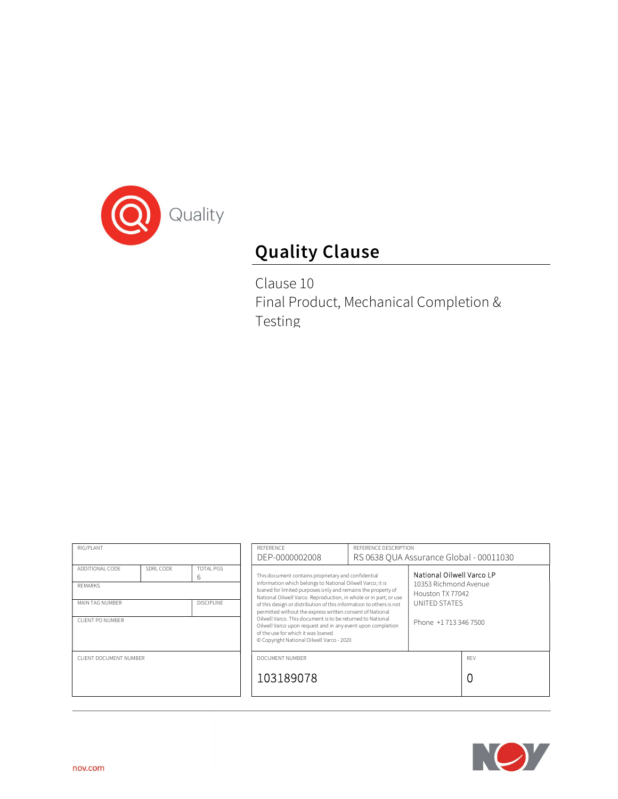

# Quality Clause

Clause 10 Final Product, Mechanical Completion & Testing

| RIG/PLANT                                                                                                                                  |  | REFERENCE<br>DEP-0000002008                                                                                                                                                                                                                                                                                                                                                                                                                                                                                                                                                                                 | REFERENCE DESCRIPTION<br>RS 0638 OUA Assurance Global - 00011030 |                                                                                                                  |          |
|--------------------------------------------------------------------------------------------------------------------------------------------|--|-------------------------------------------------------------------------------------------------------------------------------------------------------------------------------------------------------------------------------------------------------------------------------------------------------------------------------------------------------------------------------------------------------------------------------------------------------------------------------------------------------------------------------------------------------------------------------------------------------------|------------------------------------------------------------------|------------------------------------------------------------------------------------------------------------------|----------|
| SDRL CODE<br><b>TOTAL PGS</b><br>ADDITIONAL CODE<br>6<br><b>REMARKS</b><br>MAIN TAG NUMBER<br><b>DISCIPLINE</b><br><b>CLIENT PO NUMBER</b> |  | This document contains proprietary and confidential<br>information which belongs to National Oilwell Varco; it is<br>loaned for limited purposes only and remains the property of<br>National Oilwell Varco. Reproduction, in whole or in part; or use<br>of this design or distribution of this information to others is not<br>permitted without the express written consent of National<br>Oilwell Varco. This document is to be returned to National<br>Oilwell Varco upon request and in any event upon completion<br>of the use for which it was loaned.<br>© Copyright National Oilwell Varco - 2020 |                                                                  | National Oilwell Varco LP<br>10353 Richmond Avenue<br>Houston TX 77042<br>UNITED STATES<br>Phone +1 713 346 7500 |          |
| CLIENT DOCUMENT NUMBER                                                                                                                     |  | DOCUMENT NUMBER<br>103189078                                                                                                                                                                                                                                                                                                                                                                                                                                                                                                                                                                                |                                                                  |                                                                                                                  | RFV<br>0 |

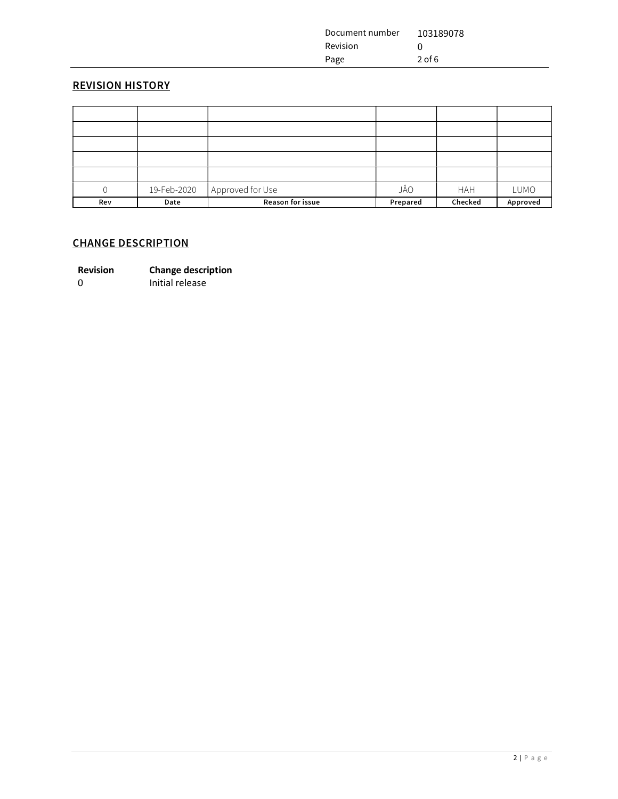| Document number | 103189078 |
|-----------------|-----------|
| Revision        |           |
| Page            | $2$ of 6  |

# REVISION HISTORY

|     | 19-Feb-2020 | Approved for Use | JÅO      | <b>HAH</b> | LUMO     |
|-----|-------------|------------------|----------|------------|----------|
| Rev | Date        | Reason for issue | Prepared | Checked    | Approved |

# CHANGE DESCRIPTION

0 Initial release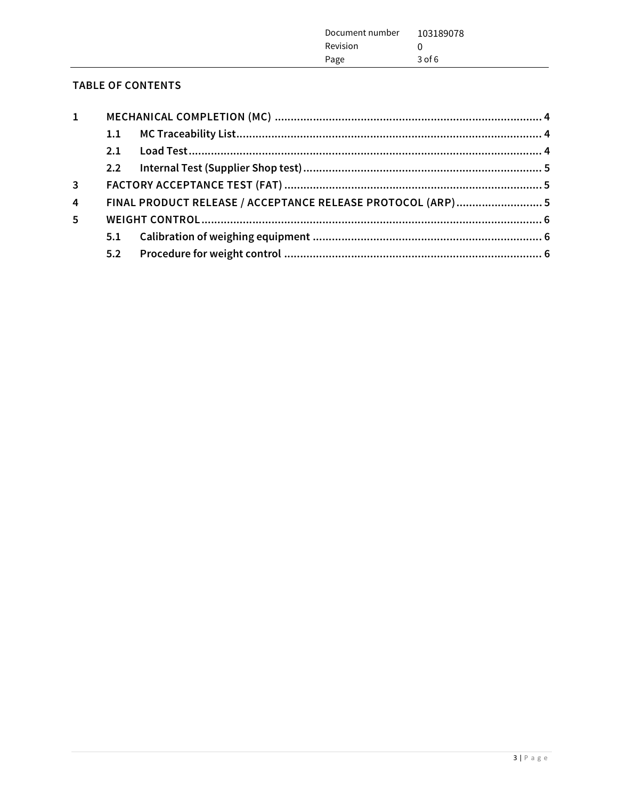| Document number | 103189078 |
|-----------------|-----------|
| Revision        |           |
| Page            | $3$ of 6  |
|                 |           |

# TABLE OF CONTENTS

| $\mathbf{1}$   |     |                                                             |  |
|----------------|-----|-------------------------------------------------------------|--|
|                | 1.1 |                                                             |  |
|                | 2.1 |                                                             |  |
|                |     |                                                             |  |
| $\overline{3}$ |     |                                                             |  |
| $\overline{4}$ |     | FINAL PRODUCT RELEASE / ACCEPTANCE RELEASE PROTOCOL (ARP) 5 |  |
| 5              |     |                                                             |  |
|                | 5.1 |                                                             |  |
|                | 5.2 |                                                             |  |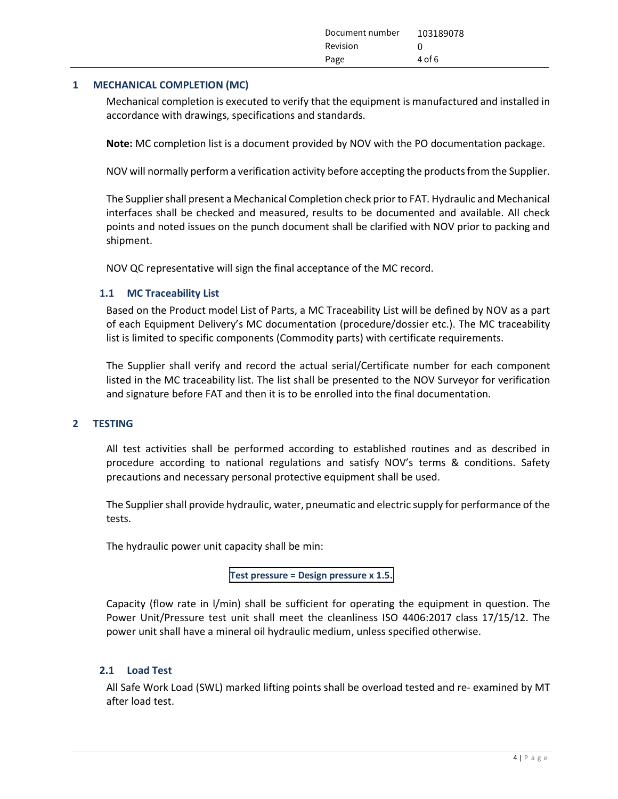| Document number | 103189078 |
|-----------------|-----------|
| Revision        |           |
| Page            | $4$ of 6  |

#### 1 MECHANICAL COMPLETION (MC)

Mechanical completion is executed to verify that the equipment is manufactured and installed in accordance with drawings, specifications and standards.

Note: MC completion list is a document provided by NOV with the PO documentation package.

NOV will normally perform a verification activity before accepting the products from the Supplier.

The Supplier shall present a Mechanical Completion check prior to FAT. Hydraulic and Mechanical interfaces shall be checked and measured, results to be documented and available. All check points and noted issues on the punch document shall be clarified with NOV prior to packing and shipment.

NOV QC representative will sign the final acceptance of the MC record.

#### 1.1 MC Traceability List

Based on the Product model List of Parts, a MC Traceability List will be defined by NOV as a part of each Equipment Delivery's MC documentation (procedure/dossier etc.). The MC traceability list is limited to specific components (Commodity parts) with certificate requirements.

The Supplier shall verify and record the actual serial/Certificate number for each component listed in the MC traceability list. The list shall be presented to the NOV Surveyor for verification and signature before FAT and then it is to be enrolled into the final documentation.

#### 2 TESTING

All test activities shall be performed according to established routines and as described in procedure according to national regulations and satisfy NOV's terms & conditions. Safety precautions and necessary personal protective equipment shall be used.

The Supplier shall provide hydraulic, water, pneumatic and electric supply for performance of the tests.

The hydraulic power unit capacity shall be min:

# Test pressure = Design pressure x 1.5.

Capacity (flow rate in l/min) shall be sufficient for operating the equipment in question. The Power Unit/Pressure test unit shall meet the cleanliness ISO 4406:2017 class 17/15/12. The power unit shall have a mineral oil hydraulic medium, unless specified otherwise.

#### 2.1 Load Test

All Safe Work Load (SWL) marked lifting points shall be overload tested and re- examined by MT after load test.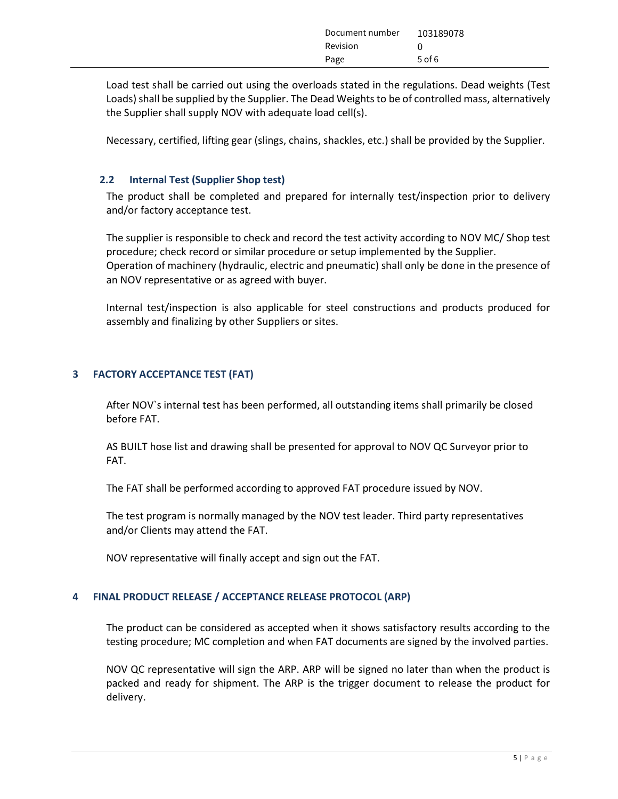| Document number | 103189078 |
|-----------------|-----------|
| Revision        |           |
| Page            | $5$ of 6  |

Load test shall be carried out using the overloads stated in the regulations. Dead weights (Test Loads) shall be supplied by the Supplier. The Dead Weights to be of controlled mass, alternatively the Supplier shall supply NOV with adequate load cell(s).

Necessary, certified, lifting gear (slings, chains, shackles, etc.) shall be provided by the Supplier.

#### 2.2 Internal Test (Supplier Shop test)

The product shall be completed and prepared for internally test/inspection prior to delivery and/or factory acceptance test.

The supplier is responsible to check and record the test activity according to NOV MC/ Shop test procedure; check record or similar procedure or setup implemented by the Supplier. Operation of machinery (hydraulic, electric and pneumatic) shall only be done in the presence of an NOV representative or as agreed with buyer.

Internal test/inspection is also applicable for steel constructions and products produced for assembly and finalizing by other Suppliers or sites.

# 3 FACTORY ACCEPTANCE TEST (FAT)

After NOV`s internal test has been performed, all outstanding items shall primarily be closed before FAT.

AS BUILT hose list and drawing shall be presented for approval to NOV QC Surveyor prior to FAT.

The FAT shall be performed according to approved FAT procedure issued by NOV.

The test program is normally managed by the NOV test leader. Third party representatives and/or Clients may attend the FAT.

NOV representative will finally accept and sign out the FAT.

# 4 FINAL PRODUCT RELEASE / ACCEPTANCE RELEASE PROTOCOL (ARP)

The product can be considered as accepted when it shows satisfactory results according to the testing procedure; MC completion and when FAT documents are signed by the involved parties.

NOV QC representative will sign the ARP. ARP will be signed no later than when the product is packed and ready for shipment. The ARP is the trigger document to release the product for delivery.